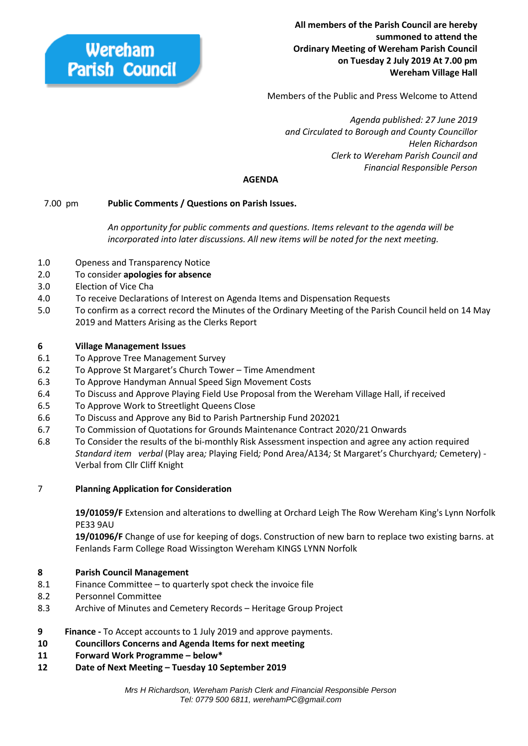Wereham **Parish Council** 

**All members of the Parish Council are hereby summoned to attend the Ordinary Meeting of Wereham Parish Council on Tuesday 2 July 2019 At 7.00 pm Wereham Village Hall**

Members of the Public and Press Welcome to Attend

 *Agenda published: 27 June 2019 and Circulated to Borough and County Councillor Helen Richardson Clerk to Wereham Parish Council and Financial Responsible Person*

## **AGENDA**

## 7.00 pm **Public Comments / Questions on Parish Issues.**

*An opportunity for public comments and questions. Items relevant to the agenda will be incorporated into later discussions. All new items will be noted for the next meeting.*

- 1.0 Openess and Transparency Notice
- 2.0 To consider **apologies for absence**
- 3.0 Election of Vice Cha
- 4.0 To receive Declarations of Interest on Agenda Items and Dispensation Requests
- 5.0 To confirm as a correct record the Minutes of the Ordinary Meeting of the Parish Council held on 14 May 2019 and Matters Arising as the Clerks Report

## **6 Village Management Issues**

- 6.1 To Approve Tree Management Survey
- 6.2 To Approve St Margaret's Church Tower Time Amendment
- 6.3 To Approve Handyman Annual Speed Sign Movement Costs
- 6.4 To Discuss and Approve Playing Field Use Proposal from the Wereham Village Hall, if received
- 6.5 To Approve Work to Streetlight Queens Close
- 6.6 To Discuss and Approve any Bid to Parish Partnership Fund 202021
- 6.7 To Commission of Quotations for Grounds Maintenance Contract 2020/21 Onwards
- 6.8 To Consider the results of the bi-monthly Risk Assessment inspection and agree any action required *Standard item verbal* (Play area*;* Playing Field*;* Pond Area/A134*;* St Margaret's Churchyard*;* Cemetery) - Verbal from Cllr Cliff Knight

## 7 **Planning Application for Consideration**

**19/01059/F** Extension and alterations to dwelling at Orchard Leigh The Row Wereham King's Lynn Norfolk PE33 9AU

**19/01096/F** Change of use for keeping of dogs. Construction of new barn to replace two existing barns. at Fenlands Farm College Road Wissington Wereham KINGS LYNN Norfolk

## **8 Parish Council Management**

- 8.1 Finance Committee to quarterly spot check the invoice file
- 8.2 Personnel Committee
- 8.3 Archive of Minutes and Cemetery Records Heritage Group Project

## **9 Finance -** To Accept accounts to 1 July 2019 and approve payments.

- **10 Councillors Concerns and Agenda Items for next meeting**
- **11 Forward Work Programme – below\***
- **12 Date of Next Meeting – Tuesday 10 September 2019**